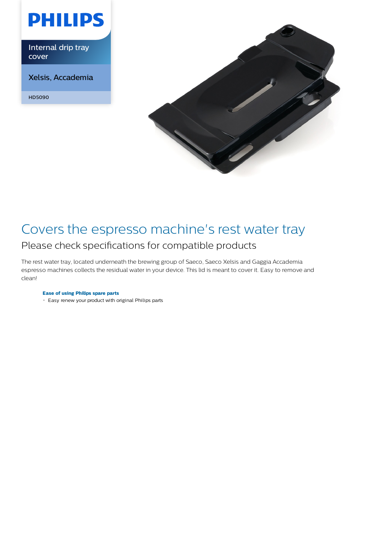

Internal drip tray cover

Xelsis, Accademia

HD5090



## Covers the espresso machine's rest water tray Please check specifications for compatible products

The rest water tray, located underneath the brewing group of Saeco, Saeco Xelsis and Gaggia Accademia espresso machines collects the residual water in your device. This lid is meant to cover it. Easy to remove and clean!

### **Ease of using Philips spare parts**

Easy renew your product with original Philips parts